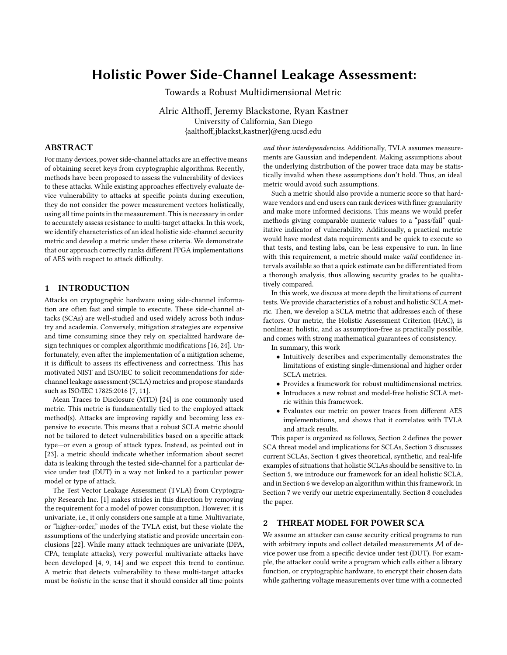# **Holistic Power Side-Channel Leakage Assessment:**

Towards a Robust Multidimensional Metric

Alric Althoff, Jeremy Blackstone, Ryan Kastner University of California, San Diego {aalthoff,jblackst,kastner}@eng.ucsd.edu

# **ABSTRACT**

For many devices, power side-channel attacks are an effective means of obtaining secret keys from cryptographic algorithms. Recently, methods have been proposed to assess the vulnerability of devices to these attacks. While existing approaches effectively evaluate device vulnerability to attacks at specific points during execution, they do not consider the power measurement vectors holistically, using all time points in the measurement. This is necessary in order to accurately assess resistance to multi-target attacks. In this work, we identify characteristics of an ideal holistic side-channel security metric and develop a metric under these criteria. We demonstrate that our approach correctly ranks different FPGA implementations of AES with respect to attack difficulty.

## **1 INTRODUCTION**

Attacks on cryptographic hardware using side-channel information are often fast and simple to execute. These side-channel attacks (SCAs) are well-studied and used widely across both industry and academia. Conversely, mitigation strategies are expensive and time consuming since they rely on specialized hardware design techniques or complex algorithmic modifications [16, 24]. Unfortunately, even after the implementation of a mitigation scheme, it is difficult to assess its effectiveness and correctness. This has motivated NIST and ISO/IEC to solicit recommendations for sidechannel leakage assessment (SCLA) metrics and propose standards such as ISO/IEC 17825:2016 [7, 11].

Mean Traces to Disclosure (MTD) [24] is one commonly used metric. This metric is fundamentally tied to the employed attack method(s). Attacks are improving rapidly and becoming less expensive to execute. This means that a robust SCLA metric should not be tailored to detect vulnerabilities based on a specific attack type—or even a group of attack types. Instead, as pointed out in [23], a metric should indicate whether information about secret data is leaking through the tested side-channel for a particular device under test (DUT) in a way not linked to a particular power model or type of attack.

The Test Vector Leakage Assessment (TVLA) from Cryptography Research Inc. [1] makes strides in this direction by removing the requirement for a model of power consumption. However, it is univariate, i.e., it only considers one sample at a time. Multivariate, or "higher-order," modes of the TVLA exist, but these violate the assumptions of the underlying statistic and provide uncertain conclusions [22]. While many attack techniques are univariate (DPA, CPA, template attacks), very powerful multivariate attacks have been developed [4, 9, 14] and we expect this trend to continue. A metric that detects vulnerability to these multi-target attacks must be *holistic* in the sense that it should consider all time points

*and their interdependencies*. Additionally, TVLA assumes measurements are Gaussian and independent. Making assumptions about the underlying distribution of the power trace data may be statistically invalid when these assumptions don't hold. Thus, an ideal metric would avoid such assumptions.

Such a metric should also provide a numeric score so that hardware vendors and end users can rank devices with finer granularity and make more informed decisions. This means we would prefer methods giving comparable numeric values to a "pass/fail" qualitative indicator of vulnerability. Additionally, a practical metric would have modest data requirements and be quick to execute so that tests, and testing labs, can be less expensive to run. In line with this requirement, a metric should make *valid* confidence intervals available so that a quick estimate can be differentiated from a thorough analysis, thus allowing security grades to be qualitatively compared.

In this work, we discuss at more depth the limitations of current tests. We provide characteristics of a robust and holistic SCLA metric. Then, we develop a SCLA metric that addresses each of these factors. Our metric, the Holistic Assessment Criterion (HAC), is nonlinear, holistic, and as assumption-free as practically possible, and comes with strong mathematical guarantees of consistency.

In summary, this work

- Intuitively describes and experimentally demonstrates the limitations of existing single-dimensional and higher order SCLA metrics.
- Provides a framework for robust multidimensional metrics.
- Introduces a new robust and model-free holistic SCLA metric within this framework.
- Evaluates our metric on power traces from different AES implementations, and shows that it correlates with TVLA and attack results.

This paper is organized as follows, Section 2 defines the power SCA threat model and implications for SCLAs, Section 3 discusses current SCLAs, Section 4 gives theoretical, synthetic, and real-life examples of situations that holistic SCLAs should be sensitive to. In Section 5, we introduce our framework for an ideal holistic SCLA, and in Section 6 we develop an algorithm within this framework. In Section 7 we verify our metric experimentally. Section 8 concludes the paper.

# **2 THREAT MODEL FOR POWER SCA**

We assume an attacker can cause security critical programs to run with arbitrary inputs and collect detailed measurements M of device power use from a specific device under test (DUT). For example, the attacker could write a program which calls either a library function, or cryptographic hardware, to encrypt their chosen data while gathering voltage measurements over time with a connected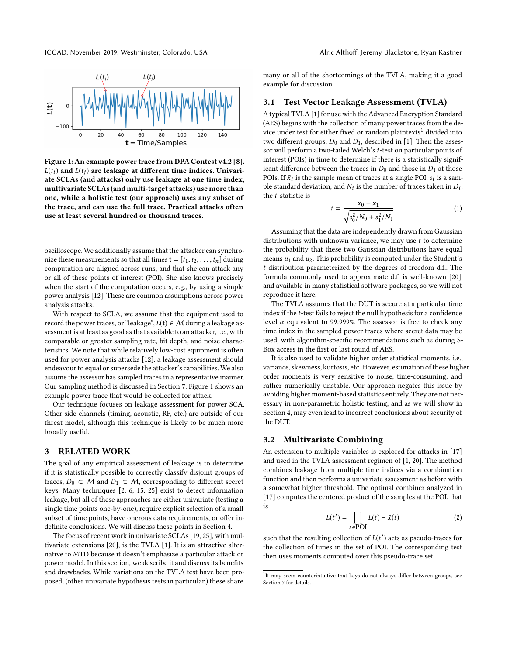ICCAD, November 2019, Westminster, Colorado, USA Alric Althoff, Jeremy Blackstone, Ryan Kastner



**Figure 1: An example power trace from DPA Contest v4.2 [8].**  $L(t_i)$  and  $L(t_j)$  are leakage at different time indices. Univari**ate SCLAs (and attacks) only use leakage at one time index, multivariate SCLAs (and multi-target attacks) use more than one, while a holistic test (our approach) uses any subset of the trace, and can use the full trace. Practical attacks often use at least several hundred or thousand traces.**

oscilloscope. We additionally assume that the attacker can synchronize these measurements so that all times  $\mathbf{t} = [t_1, t_2, \dots, t_n]$  during computation are aligned across runs, and that she can attack any or all of these points of interest (POI). She also knows precisely when the start of the computation occurs, e.g., by using a simple power analysis [12]. These are common assumptions across power analysis attacks.

With respect to SCLA, we assume that the equipment used to record the power traces, or "leakage",  $L(t)$  ∈  $M$  during a leakage assessment is at least as good as that available to an attacker, i.e., with comparable or greater sampling rate, bit depth, and noise characteristics. We note that while relatively low-cost equipment is often used for power analysis attacks [12], a leakage assessment should endeavour to equal or supersede the attacker's capabilities. We also assume the assessor has sampled traces in a representative manner. Our sampling method is discussed in Section 7. Figure 1 shows an example power trace that would be collected for attack.

Our technique focuses on leakage assessment for power SCA. Other side-channels (timing, acoustic, RF, etc.) are outside of our threat model, although this technique is likely to be much more broadly useful.

#### **3 RELATED WORK**

The goal of any empirical assessment of leakage is to determine if it is statistically possible to correctly classify disjoint groups of traces, *D*<sup>0</sup> ⊂ *M* and *D*<sup>1</sup> ⊂ *M*, corresponding to different secret keys. Many techniques [2, 6, 15, 25] exist to detect information leakage, but all of these approaches are either univariate (testing a single time points one-by-one), require explicit selection of a small subset of time points, have onerous data requirements, or offer indefinite conclusions. We will discuss these points in Section 4.

The focus of recent work in univariate SCLAs [19, 25], with multivariate extensions [20], is the TVLA [1]. It is an attractive alternative to MTD because it doesn't emphasize a particular attack or power model. In this section, we describe it and discuss its benefits and drawbacks. While variations on the TVLA test have been proposed, (other univariate hypothesis tests in particular,) these share

many or all of the shortcomings of the TVLA, making it a good example for discussion.

## **3.1 Test Vector Leakage Assessment (TVLA)**

A typical TVLA [1] for use with the Advanced Encryption Standard (AES) begins with the collection of many power traces from the device under test for either fixed or random plaintexts<sup>1</sup> divided into two different groups,  $D_0$  and  $D_1$ , described in [1]. Then the assessor will perform a two-tailed Welch's*t*-test on particular points of interest (POIs) in time to determine if there is a statistically significant difference between the traces in  $D_0$  and those in  $D_1$  at those POIs. If  $\bar{x}_i$  is the sample mean of traces at a single POI,  $s_i$  is a sample standard deviation, and  $N_i$  is the number of traces taken in  $D_i$ , the *t*-statistic is

$$
t = \frac{\bar{x}_0 - \bar{x}_1}{\sqrt{s_0^2/N_0 + s_1^2/N_1}}
$$
 (1)

Assuming that the data are independently drawn from Gaussian distributions with unknown variance, we may use *t* to determine the probability that these two Gaussian distributions have equal means  $\mu_1$  and  $\mu_2$ . This probability is computed under the Student's *t* distribution parameterized by the degrees of freedom d.f.. The formula commonly used to approximate d.f. is well-known [20], and available in many statistical software packages, so we will not reproduce it here.

The TVLA assumes that the DUT is secure at a particular time index if the *t*-test fails to reject the null hypothesis for a confidence level  $\alpha$  equivalent to 99.999%. The assessor is free to check any time index in the sampled power traces where secret data may be used, with algorithm-specific recommendations such as during S-Box access in the first or last round of AES.

It is also used to validate higher order statistical moments, i.e., variance, skewness, kurtosis, etc. However, estimation of these higher order moments is very sensitive to noise, time-consuming, and rather numerically unstable. Our approach negates this issue by avoiding higher moment-based statistics entirely. They are not necessary in non-parametric holistic testing, and as we will show in Section 4, may even lead to incorrect conclusions about security of the DUT.

## **3.2 Multivariate Combining**

An extension to multiple variables is explored for attacks in [17] and used in the TVLA assessment regimen of [1, 20]. The method combines leakage from multiple time indices via a combination function and then performs a univariate assessment as before with a somewhat higher threshold. The optimal combiner analyzed in [17] computes the centered product of the samples at the POI, that is

$$
L(t') = \prod_{t \in \text{POI}} L(t) - \bar{x}(t) \tag{2}
$$

such that the resulting collection of  $L(t')$  acts as pseudo-traces for the collection of times in the set of POI. The corresponding test then uses moments computed over this pseudo-trace set.

<sup>&</sup>lt;sup>1</sup>It may seem counterintuitive that keys do not always differ between groups, see Section 7 for details.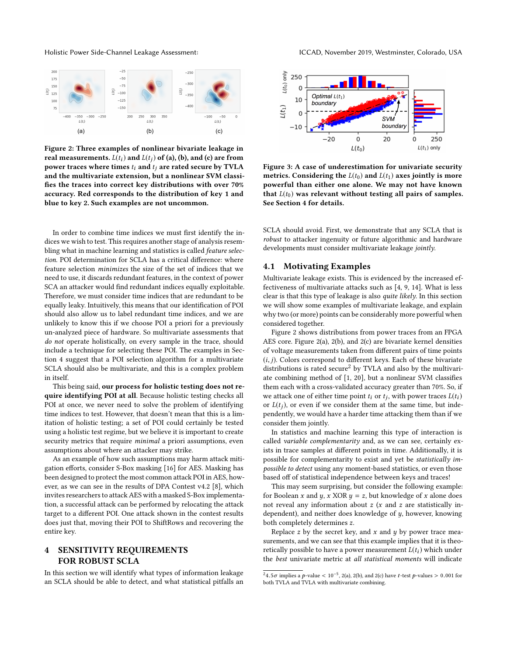

**Figure 2: Three examples of nonlinear bivariate leakage in real measurements.**  $L(t_i)$  and  $L(t_j)$  of (a), (b), and (c) are from **power traces where times** *ti* **and** *tj* **are rated secure by TVLA and the multivariate extension, but a nonlinear SVM classifies the traces into correct key distributions with over 70% accuracy. Red corresponds to the distribution of key 1 and blue to key 2. Such examples are not uncommon.**

In order to combine time indices we must first identify the indices we wish to test. This requires another stage of analysis resembling what in machine learning and statistics is called *feature selection*. POI determination for SCLA has a critical difference: where feature selection *minimizes* the size of the set of indices that we need to use, it discards redundant features, in the context of power SCA an attacker would find redundant indices equally exploitable. Therefore, we must consider time indices that are redundant to be equally leaky. Intuitively, this means that our identification of POI should also allow us to label redundant time indices, and we are unlikely to know this if we choose POI a priori for a previously un-analyzed piece of hardware. So multivariate assessments that *do not* operate holistically, on every sample in the trace, should include a technique for selecting these POI. The examples in Section 4 suggest that a POI selection algorithm for a multivariate SCLA should also be multivariate, and this is a complex problem in itself.

This being said, **our process for holistic testing does not require identifying POI at all**. Because holistic testing checks all POI at once, we never need to solve the problem of identifying time indices to test. However, that doesn't mean that this is a limitation of holistic testing; a set of POI could certainly be tested using a holistic test regime, but we believe it is important to create security metrics that require *minimal* a priori assumptions, even assumptions about where an attacker may strike.

As an example of how such assumptions may harm attack mitigation efforts, consider S-Box masking [16] for AES. Masking has been designed to protect the most common attack POI in AES, however, as we can see in the results of DPA Contest v4.2 [8], which invites researchers to attack AES with a masked S-Box implementation, a successful attack can be performed by relocating the attack target to a different POI. One attack shown in the contest results does just that, moving their POI to ShiftRows and recovering the entire key.

# **4 SENSITIVITY REQUIREMENTS FOR ROBUST SCLA**

In this section we will identify what types of information leakage an SCLA should be able to detect, and what statistical pitfalls an



**Figure 3: A case of underestimation for univariate security metrics. Considering the**  $L(t_0)$  and  $L(t_1)$  axes jointly is more **powerful than either one alone. We may not have known** that  $L(t_0)$  was relevant without testing all pairs of samples. **See Section 4 for details.**

SCLA should avoid. First, we demonstrate that any SCLA that is *robust* to attacker ingenuity or future algorithmic and hardware developments must consider multivariate leakage *jointly*.

## **4.1 Motivating Examples**

Multivariate leakage exists. This is evidenced by the increased effectiveness of multivariate attacks such as [4, 9, 14]. What is less clear is that this type of leakage is also *quite likely*. In this section we will show some examples of multivariate leakage, and explain why two (or more) points can be considerably more powerful when considered together.

Figure 2 shows distributions from power traces from an FPGA AES core. Figure 2(a), 2(b), and 2(c) are bivariate kernel densities of voltage measurements taken from different pairs of time points (*i*, *j*). Colors correspond to different keys. Each of these bivariate distributions is rated secure<sup>2</sup> by TVLA and also by the multivariate combining method of [1, 20], but a nonlinear SVM classifies them each with a cross-validated accuracy greater than 70%. So, if we attack one of either time point  $t_i$  or  $t_j$ , with power traces  $L(t_i)$ or  $L(t_i)$ , or even if we consider them at the same time, but independently, we would have a harder time attacking them than if we consider them jointly.

In statistics and machine learning this type of interaction is called *variable complementarity* and, as we can see, certainly exists in trace samples at different points in time. Additionally, it is possible for complementarity to exist and yet be *statistically impossible to detect* using any moment-based statistics, or even those based off of statistical independence between keys and traces!

This may seem surprising, but consider the following example: for Boolean *x* and *y*, *x* XOR  $y = z$ , but knowledge of *x* alone does not reveal any information about *z* (*x* and *z* are statistically independent), and neither does knowledge of *y*, however, knowing both completely determines *z*.

Replace *z* by the secret key, and *x* and *y* by power trace measurements, and we can see that this example implies that it is theoretically possible to have a power measurement  $L(t_i)$  which under the *best* univariate metric at *all statistical moments* will indicate

<sup>&</sup>lt;sup>2</sup>4.5*σ* implies a *p*-value < 10<sup>-5</sup>, 2(a), 2(b), and 2(c) have *t*-test *p*-values > 0.001 for both TVLA and TVLA with multivariate combining.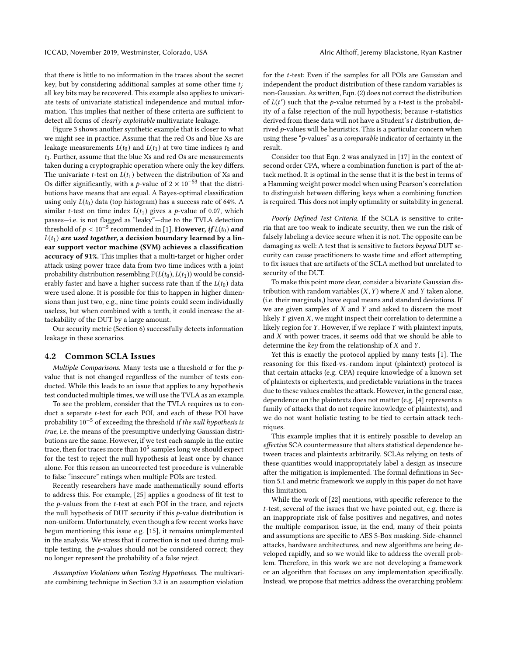that there is little to no information in the traces about the secret key, but by considering additional samples at some other time *tj* all key bits may be recovered. This example also applies to univariate tests of univariate statistical independence and mutual information. This implies that neither of these criteria are sufficient to detect all forms of *clearly exploitable* multivariate leakage.

Figure 3 shows another synthetic example that is closer to what we might see in practice. Assume that the red Os and blue Xs are leakage measurements  $L(t_0)$  and  $L(t_1)$  at two time indices  $t_0$  and *t*1. Further, assume that the blue Xs and red Os are measurements taken during a cryptographic operation where only the key differs. The univariate *t*-test on  $L(t_1)$  between the distribution of Xs and Os differ significantly, with a *p*-value of  $2 \times 10^{-53}$  that the distributions have means that are equal. A Bayes-optimal classification using only  $L(t_0)$  data (top histogram) has a success rate of 64%. A similar *t*-test on time index  $L(t_1)$  gives a *p*-value of 0.07, which passes—i.e. is not flagged as "leaky"—due to the TVLA detection threshold of  $p < 10^{-5}$  recommended in [1]. **However,** *if*  $L(t_0)$  and  $L(t_1)$  *are used together*, a decision boundary learned by a lin**ear support vector machine (SVM) achieves a classification accuracy of 91%.** This implies that a multi-target or higher order attack using power trace data from two time indices with a joint probability distribution resembling  $\mathbb{P}(L(t_0), L(t_1))$  would be considerably faster and have a higher success rate than if the  $L(t_0)$  data were used alone. It is possible for this to happen in higher dimensions than just two, e.g., nine time points could seem individually useless, but when combined with a tenth, it could increase the attackability of the DUT by a large amount.

Our security metric (Section 6) successfully detects information leakage in these scenarios.

### **4.2 Common SCLA Issues**

*Multiple Comparisons.* Many tests use a threshold *α* for the *p*value that is not changed regardless of the number of tests conducted. While this leads to an issue that applies to any hypothesis test conducted multiple times, we will use the TVLA as an example.

To see the problem, consider that the TVLA requires us to conduct a separate *t*-test for each POI, and each of these POI have probability 10−<sup>5</sup> of exceeding the threshold *if the null hypothesis is true*, i.e. the means of the presumptive underlying Gaussian distributions are the same. However, if we test each sample in the entire trace, then for traces more than  $10^5$  samples long we should expect for the test to reject the null hypothesis at least once by chance alone. For this reason an uncorrected test procedure is vulnerable to false "insecure" ratings when multiple POIs are tested.

Recently researchers have made mathematically sound efforts to address this. For example, [25] applies a goodness of fit test to the *p*-values from the *t*-test at each POI in the trace, and rejects the null hypothesis of DUT security if this *p*-value distribution is non-uniform. Unfortunately, even though a few recent works have begun mentioning this issue e.g. [15], it remains unimplemented in the analysis. We stress that if correction is not used during multiple testing, the *p*-values should not be considered correct; they no longer represent the probability of a false reject.

*Assumption Violations when Testing Hypotheses.* The multivariate combining technique in Section 3.2 is an assumption violation

for the *t*-test: Even if the samples for all POIs are Gaussian and independent the product distribution of these random variables is non-Gaussian. As written, Eqn. (2) does not correct the distribution of  $L(t')$  such that the *p*-value returned by a *t*-test is the probability of a false rejection of the null hypothesis; because *t*-statistics derived from these data will not have a Student's*t* distribution, derived *p*-values will be heuristics. This is a particular concern when using these "*p*-values" as a *comparable* indicator of certainty in the result.

Consider too that Eqn. 2 was analyzed in [17] in the context of second order CPA, where a combination function is part of the attack method. It is optimal in the sense that it is the best in terms of a Hamming weight power model when using Pearson's correlation to distinguish between differing keys when a combining function is required. This does not imply optimality or suitability in general.

*Poorly Defined Test Criteria.* If the SCLA is sensitive to criteria that are too weak to indicate security, then we run the risk of falsely labeling a device secure when it is not. The opposite can be damaging as well: A test that is sensitive to factors *beyond* DUT security can cause practitioners to waste time and effort attempting to fix issues that are artifacts of the SCLA method but unrelated to security of the DUT.

To make this point more clear, consider a bivariate Gaussian distribution with random variables (*X*,*Y*) where *X* and *Y* taken alone, (i.e. their marginals,) have equal means and standard deviations. If we are given samples of *X* and *Y* and asked to discern the most likely *Y* given *X*, we might inspect their correlation to determine a likely region for *Y*. However, if we replace *Y* with plaintext inputs, and *X* with power traces, it seems odd that we should be able to determine the *key* from the relationship of *X* and *Y*.

Yet this is exactly the protocol applied by many tests [1]. The reasoning for this fixed-vs.-random input (plaintext) protocol is that certain attacks (e.g. CPA) require knowledge of a known set of plaintexts or ciphertexts, and predictable variations in the traces due to these values enables the attack. However, in the general case, dependence on the plaintexts does not matter (e.g. [4] represents a family of attacks that do not require knowledge of plaintexts), and we do not want holistic testing to be tied to certain attack techniques.

This example implies that it is entirely possible to develop an *effective* SCA countermeasure that alters statistical dependence between traces and plaintexts arbitrarily. SCLAs relying on tests of these quantities would inappropriately label a design as insecure after the mitigation is implemented. The formal definitions in Section 5.1 and metric framework we supply in this paper do not have this limitation.

While the work of [22] mentions, with specific reference to the *t*-test, several of the issues that we have pointed out, e.g. there is an inappropriate risk of false positives and negatives, and notes the multiple comparison issue, in the end, many of their points and assumptions are specific to AES S-Box masking. Side-channel attacks, hardware architectures, and new algorithms are being developed rapidly, and so we would like to address the overall problem. Therefore, in this work we are not developing a framework or an algorithm that focuses on any implementation specifically. Instead, we propose that metrics address the overarching problem: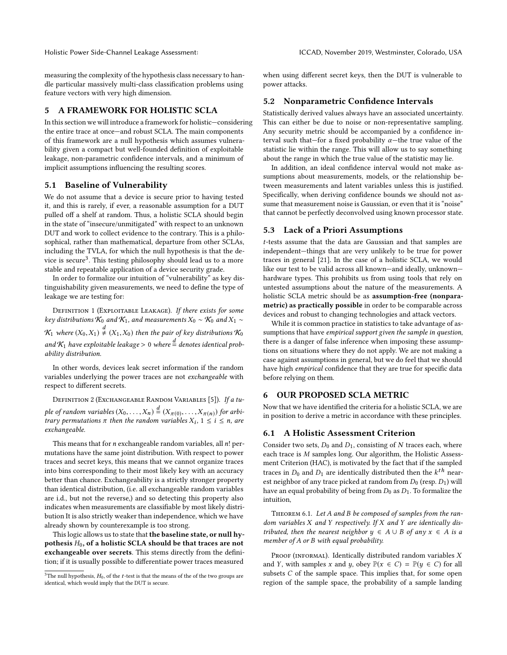measuring the complexity of the hypothesis class necessary to handle particular massively multi-class classification problems using feature vectors with very high dimension.

## **5 A FRAMEWORK FOR HOLISTIC SCLA**

In this section we will introduce a framework for holistic—considering the entire trace at once—and robust SCLA. The main components of this framework are a null hypothesis which assumes vulnerability given a compact but well-founded definition of exploitable leakage, non-parametric confidence intervals, and a minimum of implicit assumptions influencing the resulting scores.

## **5.1 Baseline of Vulnerability**

We do not assume that a device is secure prior to having tested it, and this is rarely, if ever, a reasonable assumption for a DUT pulled off a shelf at random. Thus, a holistic SCLA should begin in the state of "insecure/unmitigated" with respect to an unknown DUT and work to collect evidence to the contrary. This is a philosophical, rather than mathematical, departure from other SCLAs, including the TVLA, for which the null hypothesis is that the device is secure<sup>3</sup>. This testing philosophy should lead us to a more stable and repeatable application of a device security grade.

In order to formalize our intuition of "vulnerability" as key distinguishability given measurements, we need to define the type of leakage we are testing for:

Definition 1 (Exploitable Leakage). *If there exists for some key distributions*  $K_0$  *and*  $K_1$ *, and measurements*  $X_0 \sim K_0$  *and*  $X_1 \sim$ 

 $\mathcal{K}_1$  where  $(X_0,X_1)\overset{d}{\neq}(X_1,X_0)$  then the pair of key distributions  $\mathcal{K}_0$ and  $\mathcal{K}_1$  have exploitable leakage  $>0$  where  $\stackrel{d}{=}$  denotes identical prob*ability distribution.*

In other words, devices leak secret information if the random variables underlying the power traces are not *exchangeable* with respect to different secrets.

Definition 2 (Exchangeable Random Variables [5]). *If a tuple of random variables*  $(X_0, \ldots, X_n) \stackrel{d}{=} (X_{\pi(0)}, \ldots, X_{\pi(n)})$  *for arbitrary permutations*  $\pi$  *then the random variables*  $X_i$ ,  $1 \leq i \leq n$ , are *exchangeable.*

This means that for *n* exchangeable random variables, all *n*! permutations have the same joint distribution. With respect to power traces and secret keys, this means that we cannot organize traces into bins corresponding to their most likely key with an accuracy better than chance. Exchangeability is a strictly stronger property than identical distribution, (i.e. all exchangeable random variables are i.d., but not the reverse,) and so detecting this property also indicates when measurements are classifiable by most likely distribution It is also strictly weaker than independence, which we have already shown by counterexample is too strong.

This logic allows us to state that **the baseline state, or null hypothesis** *H*0**, of a holistic SCLA should be that traces are not exchangeable over secrets**. This stems directly from the definition; if it is usually possible to differentiate power traces measured

when using different secret keys, then the DUT is vulnerable to power attacks.

## **5.2 Nonparametric Confidence Intervals**

Statistically derived values always have an associated uncertainty. This can either be due to noise or non-representative sampling. Any security metric should be accompanied by a confidence interval such that—for a fixed probability *α*—the true value of the statistic lie within the range. This will allow us to say something about the range in which the true value of the statistic may lie.

In addition, an ideal confidence interval would not make assumptions about measurements, models, or the relationship between measurements and latent variables unless this is justified. Specifically, when deriving confidence bounds we should not assume that measurement noise is Gaussian, or even that it is "noise" that cannot be perfectly deconvolved using known processor state.

## **5.3 Lack of a Priori Assumptions**

*t*-tests assume that the data are Gaussian and that samples are independent—things that are very unlikely to be true for power traces in general [21]. In the case of a holistic SCLA, we would like our test to be valid across all known—and ideally, unknown hardware types. This prohibits us from using tools that rely on untested assumptions about the nature of the measurements. A holistic SCLA metric should be as **assumption-free (nonparametric) as practically possible** in order to be comparable across devices and robust to changing technologies and attack vectors.

While it is common practice in statistics to take advantage of assumptions that have *empirical support given the sample in question*, there is a danger of false inference when imposing these assumptions on situations where they do not apply. We are not making a case against assumptions in general, but we do feel that we should have high *empirical* confidence that they are true for specific data before relying on them.

## **6 OUR PROPOSED SCLA METRIC**

Now that we have identified the criteria for a holistic SCLA, we are in position to derive a metric in accordance with these principles.

## **6.1 A Holistic Assessment Criterion**

Consider two sets,  $D_0$  and  $D_1$ , consisting of  $N$  traces each, where each trace is *M* samples long. Our algorithm, the Holistic Assessment Criterion (HAC), is motivated by the fact that if the sampled traces in  $D_0$  and  $D_1$  are identically distributed then the  $k^{th}$  nearest neighbor of any trace picked at random from  $D_0$  (resp.  $D_1$ ) will have an equal probability of being from *D*0 as *D*1. To formalize the intuition,

Theorem 6.1. *Let A and B be composed of samples from the random variables X and Y respectively. If X and Y are identically distributed, then the nearest neighbor*  $y \in A \cup B$  *of any*  $x \in A$  *is a member of A or B with equal probability.*

PROOF (INFORMAL). Identically distributed random variables X and *Y*, with samples *x* and *y*, obey  $\mathbb{P}(x \in C) = \mathbb{P}(y \in C)$  for all subsets *C* of the sample space. This implies that, for some open region of the sample space, the probability of a sample landing

 $3$ The null hypothesis,  $H_0$ , of the  $t$ -test is that the means of the of the two groups are identical, which would imply that the DUT is secure.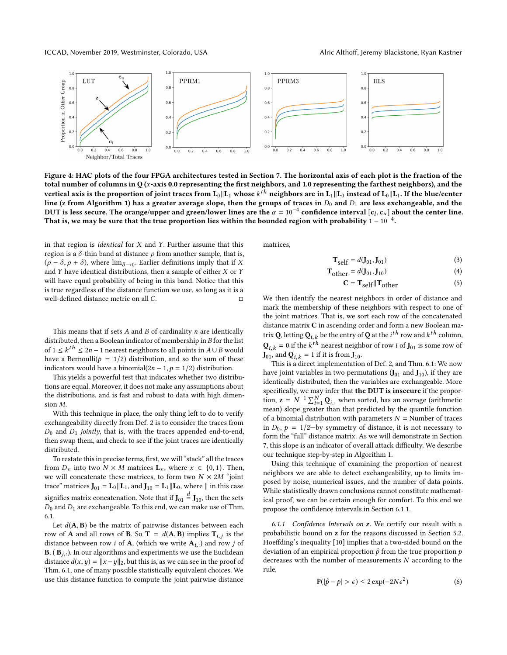

**Figure 4: HAC plots of the four FPGA architectures tested in Section 7. The horizontal axis of each plot is the fraction of the total number of columns in Q (***x***-axis 0.0 representing the first neighbors, and 1.0 representing the farthest neighbors), and the**  $\bf v$ ertical axis is the proportion of joint traces from  $\bf L_0\| \bf L_1$  whose  $k^{th}$  neighbors are in  $\bf L_1\| \bf L_0$  instead of  $\bf L_0\| \bf L_1.$  If the blue/center line (z from Algorithm 1) has a greater average slope, then the groups of traces in  $D_0$  and  $D_1$  are less exchangeable, and the DUT is less secure. The orange/upper and green/lower lines are the  $\alpha = 10^{-4}$  confidence interval  $[\mathbf{c}_l,\mathbf{c}_u]$  about the center line. That is, we may be sure that the true proportion lies within the bounded region with probability  $1 - 10^{-4}$ .

in that region is *identical* for *X* and *Y*. Further assume that this region is a *δ*-thin band at distance *ρ* from another sample, that is,  $(\rho - \delta, \rho + \delta)$ , where  $\lim_{\delta \to 0}$ . Earlier definitions imply that if *X* and *Y* have identical distributions, then a sample of either *X* or *Y* will have equal probability of being in this band. Notice that this is true regardless of the distance function we use, so long as it is a well-defined distance metric on all *C*. □

This means that if sets *A* and *B* of cardinality *n* are identically distributed, then a Boolean indicator of membership in *B* for the list of 1 ≤  $k^{th}$  ≤ 2*n* − 1 nearest neighbors to all points in  $A ∪ B$  would have a Bernoulli( $p = 1/2$ ) distribution, and so the sum of these indicators would have a binomial $(2n - 1, p = 1/2)$  distribution.

This yields a powerful test that indicates whether two distributions are equal. Moreover, it does not make any assumptions about the distributions, and is fast and robust to data with high dimension *M*.

With this technique in place, the only thing left to do to verify exchangeability directly from Def. 2 is to consider the traces from *D*0 and *D*1 *jointly*, that is, with the traces appended end-to-end, then swap them, and check to see if the joint traces are identically distributed.

To restate this in precise terms, first, we will "stack" all the traces from  $D_x$  into two  $N \times M$  matrices  $\mathbf{L}_x$ , where  $x \in \{0, 1\}$ . Then, we will concatenate these matrices, to form two  $N \times 2M$  "joint trace" matrices  $J_{01} = L_0 || L_1$ , and  $J_{10} = L_1 || L_0$ , where  $||$  in this case signifies matrix concatenation. Note that if  $\mathbf{J}_{01} \stackrel{d}{=} \mathbf{J}_{10}$ , then the sets *D*0 and *D*1 are exchangeable. To this end, we can make use of Thm. 6.1.

Let  $d(A, B)$  be the matrix of pairwise distances between each row of **A** and all rows of **B**. So **T** =  $d(A, B)$  implies  $T_{i,j}$  is the distance between row *i* of **A**, (which we write **A***i*,: ) and row *j* of  $\mathbf{B}$ ,  $(\mathbf{B}_{j,:})$ . In our algorithms and experiments we use the Euclidean distance  $d(x, y) = ||x - y||_2$ , but this is, as we can see in the proof of Thm. 6.1, one of many possible statistically equivalent choices. We use this distance function to compute the joint pairwise distance

matrices,

$$
\mathbf{T}_{\text{self}} = d(\mathbf{J}_{01}, \mathbf{J}_{01}) \tag{3}
$$

$$
\mathbf{T}_{\text{other}} = d(\mathbf{J}_{01}, \mathbf{J}_{10}) \tag{4}
$$

$$
C = T_{\text{self}} || T_{\text{other}} \tag{5}
$$

We then identify the nearest neighbors in order of distance and mark the membership of these neighbors with respect to one of the joint matrices. That is, we sort each row of the concatenated distance matrix **C** in ascending order and form a new Boolean matrix **Q**, letting  $\mathbf{Q}_{i,k}$  be the entry of  $\mathbf{Q}$  at the  $i^{th}$  row and  $k^{th}$  column,  $Q_{i,k} = 0$  if the  $k^{th}$  nearest neighbor of row *i* of  $J_{01}$  is some row of  $\mathbf{J}_{01}$ , and  $\mathbf{Q}_{i,k} = 1$  if it is from  $\mathbf{J}_{10}$ .

This is a direct implementation of Def. 2, and Thm. 6.1: We now have joint variables in two permutations  $(J_{01}$  and  $J_{10}$ ), if they are identically distributed, then the variables are exchangeable. More specifically, we may infer that **the DUT is insecure** if the proportion,  $\mathbf{z} = N^{-1} \sum_{i=1}^{N} \mathbf{Q}_{i,:}$  when sorted, has an average (arithmetic mean) slope greater than that predicted by the quantile function of a binomial distribution with parameters  $N =$  Number of traces in  $D_0$ ,  $p = 1/2$ -by symmetry of distance, it is not necessary to form the "full" distance matrix. As we will demonstrate in Section 7, this slope is an indicator of overall attack difficulty. We describe our technique step-by-step in Algorithm 1.

Using this technique of examining the proportion of nearest neighbors we are able to detect exchangeability, up to limits imposed by noise, numerical issues, and the number of data points. While statistically drawn conclusions cannot constitute mathematical proof, we can be certain enough for comfort. To this end we propose the confidence intervals in Section 6.1.1.

*6.1.1 Confidence Intervals on* **z***.* We certify our result with a probabilistic bound on **z** for the reasons discussed in Section 5.2. Hoeffding's inequality [10] implies that a two-sided bound on the deviation of an empirical proportion  $\hat{p}$  from the true proportion  $p$ decreases with the number of measurements *N* according to the rule,

$$
\mathbb{P}(|\hat{p} - p| > \epsilon) \le 2 \exp(-2N\epsilon^2)
$$
 (6)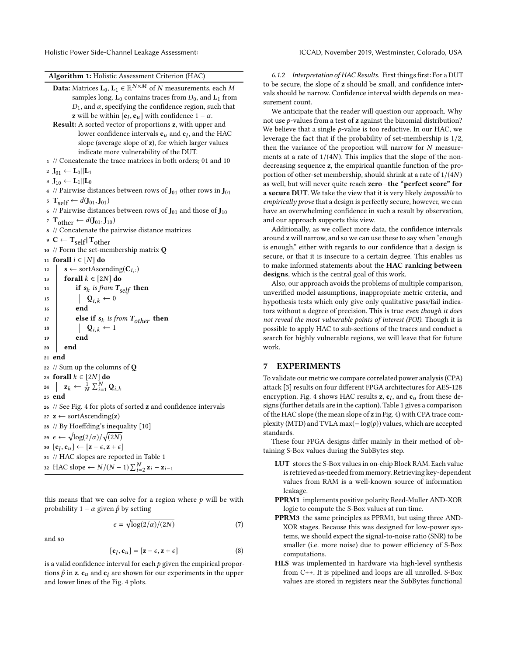Holistic Power Side-Channel Leakage Assessment: ICCAD, November 2019, Westminster, Colorado, USA

#### **Algorithm 1:** Holistic Assessment Criterion (HAC)

```
\mathbf{Data:}\ \text{Matrices}\ \mathbf{L}_0, \mathbf{L}_1 \in \mathbb{R}^{N \times M} \ \text{of}\ N\ \text{measurements, each}\ Msamples long. L0 contains traces from D0, and L1 from
               D<sub>1</sub>, and α, specifying the confidence region, such that
                z will be within [\mathbf{c}_l, \mathbf{c}_u] with confidence 1 - \alpha.
    Result: A sorted vector of proportions z, with upper and
                   lower confidence intervals cu and cl
, and the HAC
                   slope (average slope of z), for which larger values
                   indicate more vulnerability of the DUT.
 1 // Concatenate the trace matrices in both orders; 01 and 10
 2 J01 ← L0 ∥L1
 3 J10 ← L1 ∥L0
 4 // Pairwise distances between rows of J_{01} other rows in J_{01}5 \mathbf{T}_{\text{self}} ← d(\mathbf{J}_{01}, \mathbf{J}_{01})6 // Pairwise distances between rows of \mathbf{J}_{01} and those of \mathbf{J}_{10}7 Tother ← d(J01,J10)
 8 // Concatenate the pairwise distance matrices
 9 C ← \mathbf{T}_{self}||\mathbf{T}_{other}10 // Form the set-membership matrix Q
11 forall i ∈ [N] do
12 s ← sortAscending(C<sub>i,:</sub>)
13 forall k \in [2N] do
14 if s_k is from T_{self} then
15 \left| \right| \left| \right| \left| \right| \left| \right| \left| \right| \left| \right| \left| \right| \left| \right| \left| \right| \left| \right| \left| \right| \left| \right| \left| \right| \left| \right| \left| \right| \left| \right| \left| \right| \left| \right| \left| \right| \left| \right| \left| \right| \left| \right| \left| \right| \left| \right| \left| \right| \left| \right| \left| \right| \left| \right| \left| \right| \left| \right| \left| \right| \left| \right| \left| \right| \left| \right| \left| \right| \left| \right| \16 end
\begin{array}{|c|c|c|c|c|}\n\hline\n\text{else if } \mathbf{s}_k \text{ is from } T_{other} \text{ then} \\
\hline\n\end{array}18 \vert \vert \vert \vert \mathbf{Q}_{i,k} \leftarrow 119 end
20 end
21 end
22 // Sum up the columns of Q
23 forall k ∈ [2N] do
24 \vert z<sub>k</sub> ← \frac{1}{N} \sum_{i=1}^{N} \mathbf{Q}_{i,k}25 end
26 // See Fig. 4 for plots of sorted z and confidence intervals
z \mathbf{z} ← sortAscending(z)
28 // By Hoeffding's inequality [10]
29 \epsilon \leftarrow \sqrt{\log(2/\alpha)}/\sqrt{(2N)}\mathbf{x}_0 [\mathbf{c}_l, \mathbf{c}_u] \leftarrow [\mathbf{z} - \epsilon, \mathbf{z} + \epsilon]31 // HAC slopes are reported in Table 1
32 HAC slope ← N/(N-1)\sum_{i=2}^{N} z_i - z_{i-1}
```
this means that we can solve for a region where  $p$  will be with probability  $1 - \alpha$  given  $\hat{p}$  by setting

$$
\epsilon = \sqrt{\log(2/\alpha)/(2N)}\tag{7}
$$

and so

$$
[\mathbf{c}_l, \mathbf{c}_u] = [\mathbf{z} - \epsilon, \mathbf{z} + \epsilon]
$$
 (8)

is a valid confidence interval for each  $p$  given the empirical proportions  $\hat{p}$  in **z**.  $\mathbf{c}_u$  and  $\mathbf{c}_l$  are shown for our experiments in the upper and lower lines of the Fig. 4 plots.

*6.1.2 Interpretation of HAC Results.* First things first: For a DUT to be secure, the slope of **z** should be small, and confidence intervals should be narrow. Confidence interval width depends on measurement count.

We anticipate that the reader will question our approach. Why not use *p*-values from a test of **z** against the binomial distribution? We believe that a single *p*-value is too reductive. In our HAC, we leverage the fact that if the probability of set-membership is 1/2, then the variance of the proportion will narrow for *N* measurements at a rate of  $1/(4N)$ . This implies that the slope of the nondecreasing sequence **z**, the empirical quantile function of the proportion of other-set membership, should shrink at a rate of 1/(4*N*) as well, but will never quite reach **zero—the "perfect score" for a secure DUT**. We take the view that it is very likely *impossible* to *empirically prove* that a design is perfectly secure, however, we can have an overwhelming confidence in such a result by observation, and our approach supports this view.

Additionally, as we collect more data, the confidence intervals around **z** will narrow, and so we can use these to say when "enough is enough," either with regards to our confidence that a design is secure, or that it is insecure to a certain degree. This enables us to make informed statements about the **HAC ranking between designs**, which is the central goal of this work.

Also, our approach avoids the problems of multiple comparison, unverified model assumptions, inappropriate metric criteria, and hypothesis tests which only give only qualitative pass/fail indicators without a degree of precision. This is true *even though it does not reveal the most vulnerable points of interest (POI)*. Though it is possible to apply HAC to sub-sections of the traces and conduct a search for highly vulnerable regions, we will leave that for future work.

## **7 EXPERIMENTS**

To validate our metric we compare correlated power analysis (CPA) attack [3] results on four different FPGA architectures for AES-128 encryption. Fig. 4 shows HAC results **z**, **c***<sup>l</sup>* , and **c***u* from these designs (further details are in the caption). Table 1 gives a comparison of the HAC slope (the mean slope of **z** in Fig. 4) with CPA trace complexity (MTD) and TVLA max(− log(*p*)) values, which are accepted standards.

These four FPGA designs differ mainly in their method of obtaining S-Box values during the SubBytes step.

- **LUT** stores the S-Box values in on-chip Block RAM. Each value is retrieved as-needed from memory. Retrieving key-dependent values from RAM is a well-known source of information leakage.
- **PPRM1** implements positive polarity Reed-Muller AND-XOR logic to compute the S-Box values at run time.
- **PPRM3** the same principles as PPRM1, but using three AND-XOR stages. Because this was designed for low-power systems, we should expect the signal-to-noise ratio (SNR) to be smaller (i.e. more noise) due to power efficiency of S-Box computations.
- **HLS** was implemented in hardware via high-level synthesis from C++. It is pipelined and loops are all unrolled. S-Box values are stored in registers near the SubBytes functional